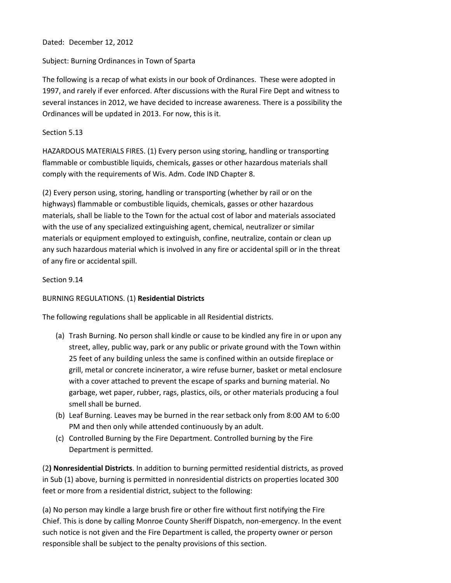# Dated: December 12, 2012

# Subject: Burning Ordinances in Town of Sparta

The following is a recap of what exists in our book of Ordinances. These were adopted in 1997, and rarely if ever enforced. After discussions with the Rural Fire Dept and witness to several instances in 2012, we have decided to increase awareness. There is a possibility the Ordinances will be updated in 2013. For now, this is it.

# Section 5.13

HAZARDOUS MATERIALS FIRES. (1) Every person using storing, handling or transporting flammable or combustible liquids, chemicals, gasses or other hazardous materials shall comply with the requirements of Wis. Adm. Code IND Chapter 8.

(2) Every person using, storing, handling or transporting (whether by rail or on the highways) flammable or combustible liquids, chemicals, gasses or other hazardous materials, shall be liable to the Town for the actual cost of labor and materials associated with the use of any specialized extinguishing agent, chemical, neutralizer or similar materials or equipment employed to extinguish, confine, neutralize, contain or clean up any such hazardous material which is involved in any fire or accidental spill or in the threat of any fire or accidental spill.

#### Section 9.14

# BURNING REGULATIONS. (1) **Residential Districts**

The following regulations shall be applicable in all Residential districts.

- (a) Trash Burning. No person shall kindle or cause to be kindled any fire in or upon any street, alley, public way, park or any public or private ground with the Town within 25 feet of any building unless the same is confined within an outside fireplace or grill, metal or concrete incinerator, a wire refuse burner, basket or metal enclosure with a cover attached to prevent the escape of sparks and burning material. No garbage, wet paper, rubber, rags, plastics, oils, or other materials producing a foul smell shall be burned.
- (b) Leaf Burning. Leaves may be burned in the rear setback only from 8:00 AM to 6:00 PM and then only while attended continuously by an adult.
- (c) Controlled Burning by the Fire Department. Controlled burning by the Fire Department is permitted.

(2**) Nonresidential Districts**. In addition to burning permitted residential districts, as proved in Sub (1) above, burning is permitted in nonresidential districts on properties located 300 feet or more from a residential district, subject to the following:

(a) No person may kindle a large brush fire or other fire without first notifying the Fire Chief. This is done by calling Monroe County Sheriff Dispatch, non-emergency. In the event such notice is not given and the Fire Department is called, the property owner or person responsible shall be subject to the penalty provisions of this section.